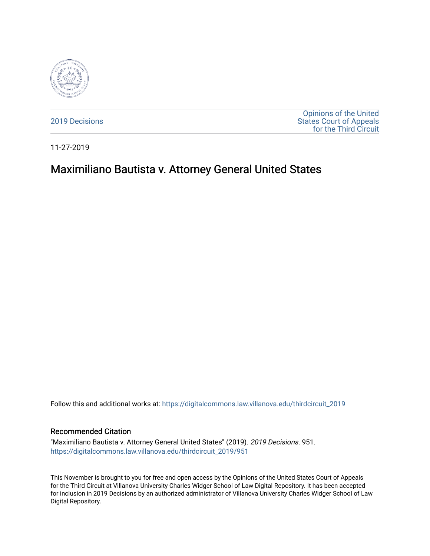

[2019 Decisions](https://digitalcommons.law.villanova.edu/thirdcircuit_2019)

[Opinions of the United](https://digitalcommons.law.villanova.edu/thirdcircuit)  [States Court of Appeals](https://digitalcommons.law.villanova.edu/thirdcircuit)  [for the Third Circuit](https://digitalcommons.law.villanova.edu/thirdcircuit) 

11-27-2019

# Maximiliano Bautista v. Attorney General United States

Follow this and additional works at: [https://digitalcommons.law.villanova.edu/thirdcircuit\\_2019](https://digitalcommons.law.villanova.edu/thirdcircuit_2019?utm_source=digitalcommons.law.villanova.edu%2Fthirdcircuit_2019%2F951&utm_medium=PDF&utm_campaign=PDFCoverPages) 

#### Recommended Citation

"Maximiliano Bautista v. Attorney General United States" (2019). 2019 Decisions. 951. [https://digitalcommons.law.villanova.edu/thirdcircuit\\_2019/951](https://digitalcommons.law.villanova.edu/thirdcircuit_2019/951?utm_source=digitalcommons.law.villanova.edu%2Fthirdcircuit_2019%2F951&utm_medium=PDF&utm_campaign=PDFCoverPages)

This November is brought to you for free and open access by the Opinions of the United States Court of Appeals for the Third Circuit at Villanova University Charles Widger School of Law Digital Repository. It has been accepted for inclusion in 2019 Decisions by an authorized administrator of Villanova University Charles Widger School of Law Digital Repository.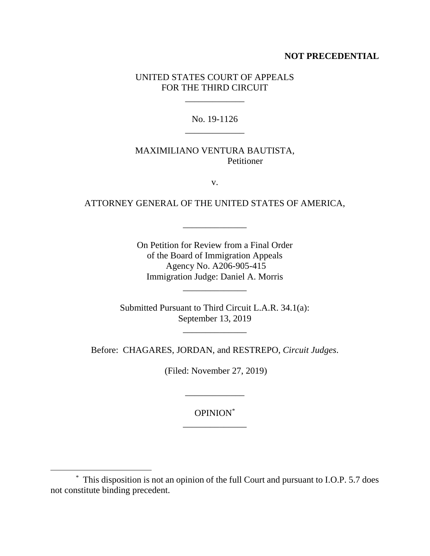### **NOT PRECEDENTIAL**

### UNITED STATES COURT OF APPEALS FOR THE THIRD CIRCUIT

 $\overline{\phantom{a}}$ 

### No. 19-1126 \_\_\_\_\_\_\_\_\_\_\_\_\_

### MAXIMILIANO VENTURA BAUTISTA, Petitioner

v.

## ATTORNEY GENERAL OF THE UNITED STATES OF AMERICA,

 $\overline{\phantom{a}}$  , and the contract of the contract of the contract of the contract of the contract of the contract of the contract of the contract of the contract of the contract of the contract of the contract of the contrac

On Petition for Review from a Final Order of the Board of Immigration Appeals Agency No. A206-905-415 Immigration Judge: Daniel A. Morris

\_\_\_\_\_\_\_\_\_\_\_\_\_\_

Submitted Pursuant to Third Circuit L.A.R. 34.1(a): September 13, 2019

 $\frac{1}{2}$  ,  $\frac{1}{2}$  ,  $\frac{1}{2}$  ,  $\frac{1}{2}$  ,  $\frac{1}{2}$  ,  $\frac{1}{2}$  ,  $\frac{1}{2}$ 

Before: CHAGARES, JORDAN, and RESTREPO, *Circuit Judges*.

(Filed: November 27, 2019)

OPINION\* \_\_\_\_\_\_\_\_\_\_\_\_\_\_

\_\_\_\_\_\_\_\_\_\_\_\_\_

 $\overline{a}$ 

<sup>\*</sup> This disposition is not an opinion of the full Court and pursuant to I.O.P. 5.7 does not constitute binding precedent.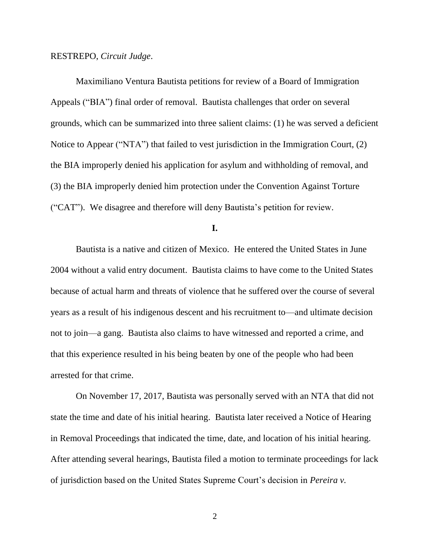#### RESTREPO, *Circuit Judge*.

Maximiliano Ventura Bautista petitions for review of a Board of Immigration Appeals ("BIA") final order of removal. Bautista challenges that order on several grounds, which can be summarized into three salient claims: (1) he was served a deficient Notice to Appear ("NTA") that failed to vest jurisdiction in the Immigration Court, (2) the BIA improperly denied his application for asylum and withholding of removal, and (3) the BIA improperly denied him protection under the Convention Against Torture ("CAT"). We disagree and therefore will deny Bautista's petition for review.

**I.**

Bautista is a native and citizen of Mexico. He entered the United States in June 2004 without a valid entry document. Bautista claims to have come to the United States because of actual harm and threats of violence that he suffered over the course of several years as a result of his indigenous descent and his recruitment to—and ultimate decision not to join—a gang. Bautista also claims to have witnessed and reported a crime, and that this experience resulted in his being beaten by one of the people who had been arrested for that crime.

On November 17, 2017, Bautista was personally served with an NTA that did not state the time and date of his initial hearing. Bautista later received a Notice of Hearing in Removal Proceedings that indicated the time, date, and location of his initial hearing. After attending several hearings, Bautista filed a motion to terminate proceedings for lack of jurisdiction based on the United States Supreme Court's decision in *Pereira v.* 

2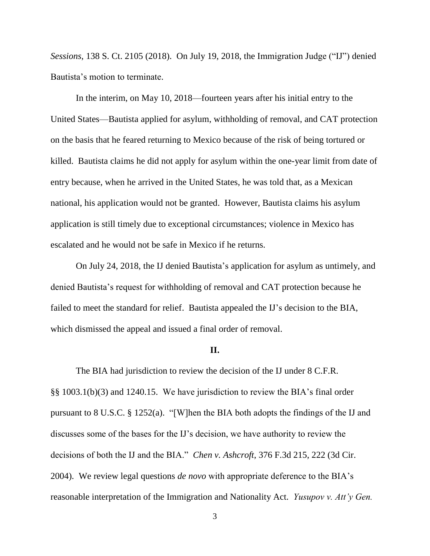*Sessions*, 138 S. Ct. 2105 (2018). On July 19, 2018, the Immigration Judge ("IJ") denied Bautista's motion to terminate.

In the interim, on May 10, 2018—fourteen years after his initial entry to the United States—Bautista applied for asylum, withholding of removal, and CAT protection on the basis that he feared returning to Mexico because of the risk of being tortured or killed. Bautista claims he did not apply for asylum within the one-year limit from date of entry because, when he arrived in the United States, he was told that, as a Mexican national, his application would not be granted. However, Bautista claims his asylum application is still timely due to exceptional circumstances; violence in Mexico has escalated and he would not be safe in Mexico if he returns.

On July 24, 2018, the IJ denied Bautista's application for asylum as untimely, and denied Bautista's request for withholding of removal and CAT protection because he failed to meet the standard for relief. Bautista appealed the IJ's decision to the BIA, which dismissed the appeal and issued a final order of removal.

#### **II.**

The BIA had jurisdiction to review the decision of the IJ under 8 C.F.R. §§ 1003.1(b)(3) and 1240.15. We have jurisdiction to review the BIA's final order pursuant to 8 U.S.C. § 1252(a). "[W]hen the BIA both adopts the findings of the IJ and discusses some of the bases for the IJ's decision, we have authority to review the decisions of both the IJ and the BIA." *Chen v. Ashcroft*, 376 F.3d 215, 222 (3d Cir. 2004). We review legal questions *de novo* with appropriate deference to the BIA's reasonable interpretation of the Immigration and Nationality Act. *Yusupov v. Att'y Gen.* 

<sup>3</sup>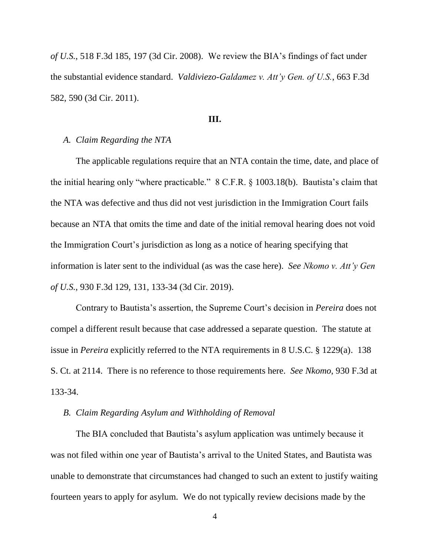*of U.S.*, 518 F.3d 185, 197 (3d Cir. 2008). We review the BIA's findings of fact under the substantial evidence standard. *Valdiviezo-Galdamez v. Att'y Gen. of U.S.*, 663 F.3d 582, 590 (3d Cir. 2011).

#### **III.**

### *A. Claim Regarding the NTA*

The applicable regulations require that an NTA contain the time, date, and place of the initial hearing only "where practicable." 8 C.F.R. § 1003.18(b). Bautista's claim that the NTA was defective and thus did not vest jurisdiction in the Immigration Court fails because an NTA that omits the time and date of the initial removal hearing does not void the Immigration Court's jurisdiction as long as a notice of hearing specifying that information is later sent to the individual (as was the case here). *See Nkomo v. Att'y Gen of U.S.*, 930 F.3d 129, 131, 133-34 (3d Cir. 2019).

Contrary to Bautista's assertion, the Supreme Court's decision in *Pereira* does not compel a different result because that case addressed a separate question. The statute at issue in *Pereira* explicitly referred to the NTA requirements in 8 U.S.C. § 1229(a). 138 S. Ct. at 2114. There is no reference to those requirements here. *See Nkomo*, 930 F.3d at 133-34.

### *B. Claim Regarding Asylum and Withholding of Removal*

The BIA concluded that Bautista's asylum application was untimely because it was not filed within one year of Bautista's arrival to the United States, and Bautista was unable to demonstrate that circumstances had changed to such an extent to justify waiting fourteen years to apply for asylum. We do not typically review decisions made by the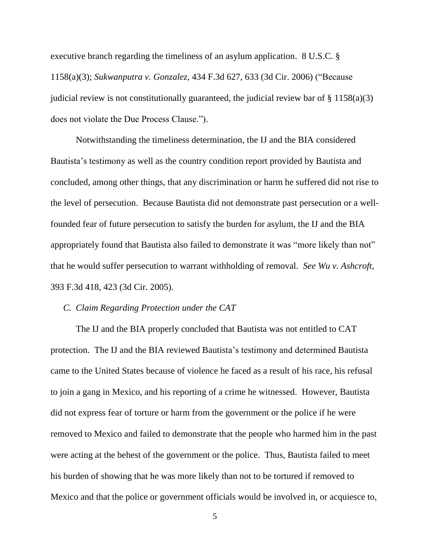executive branch regarding the timeliness of an asylum application. 8 U.S.C. § 1158(a)(3); *Sukwanputra v. Gonzalez*, 434 F.3d 627, 633 (3d Cir. 2006) ("Because judicial review is not constitutionally guaranteed, the judicial review bar of  $\S 1158(a)(3)$ does not violate the Due Process Clause.").

Notwithstanding the timeliness determination, the IJ and the BIA considered Bautista's testimony as well as the country condition report provided by Bautista and concluded, among other things, that any discrimination or harm he suffered did not rise to the level of persecution. Because Bautista did not demonstrate past persecution or a wellfounded fear of future persecution to satisfy the burden for asylum, the IJ and the BIA appropriately found that Bautista also failed to demonstrate it was "more likely than not" that he would suffer persecution to warrant withholding of removal. *See Wu v. Ashcroft*, 393 F.3d 418, 423 (3d Cir. 2005).

#### *C. Claim Regarding Protection under the CAT*

The IJ and the BIA properly concluded that Bautista was not entitled to CAT protection. The IJ and the BIA reviewed Bautista's testimony and determined Bautista came to the United States because of violence he faced as a result of his race, his refusal to join a gang in Mexico, and his reporting of a crime he witnessed. However, Bautista did not express fear of torture or harm from the government or the police if he were removed to Mexico and failed to demonstrate that the people who harmed him in the past were acting at the behest of the government or the police. Thus, Bautista failed to meet his burden of showing that he was more likely than not to be tortured if removed to Mexico and that the police or government officials would be involved in, or acquiesce to,